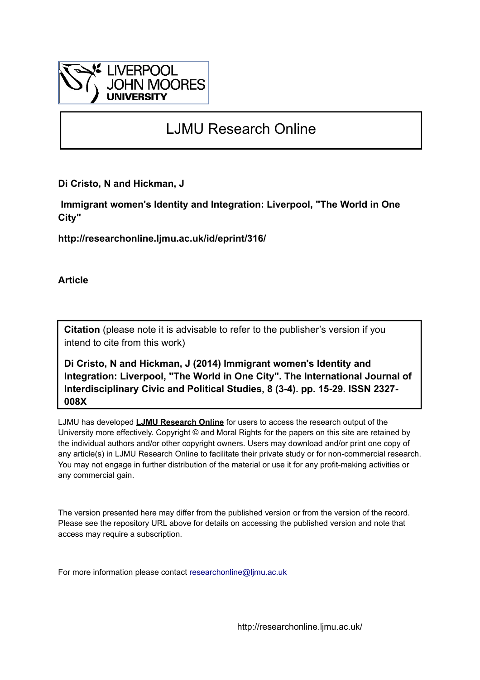

# LJMU Research Online

**Di Cristo, N and Hickman, J**

 **Immigrant women's Identity and Integration: Liverpool, "The World in One City"**

**http://researchonline.ljmu.ac.uk/id/eprint/316/**

**Article**

**Citation** (please note it is advisable to refer to the publisher's version if you intend to cite from this work)

**Di Cristo, N and Hickman, J (2014) Immigrant women's Identity and Integration: Liverpool, "The World in One City". The International Journal of Interdisciplinary Civic and Political Studies, 8 (3-4). pp. 15-29. ISSN 2327- 008X** 

LJMU has developed **[LJMU Research Online](http://researchonline.ljmu.ac.uk/)** for users to access the research output of the University more effectively. Copyright © and Moral Rights for the papers on this site are retained by the individual authors and/or other copyright owners. Users may download and/or print one copy of any article(s) in LJMU Research Online to facilitate their private study or for non-commercial research. You may not engage in further distribution of the material or use it for any profit-making activities or any commercial gain.

The version presented here may differ from the published version or from the version of the record. Please see the repository URL above for details on accessing the published version and note that access may require a subscription.

For more information please contact [researchonline@ljmu.ac.uk](mailto:researchonline@ljmu.ac.uk)

http://researchonline.ljmu.ac.uk/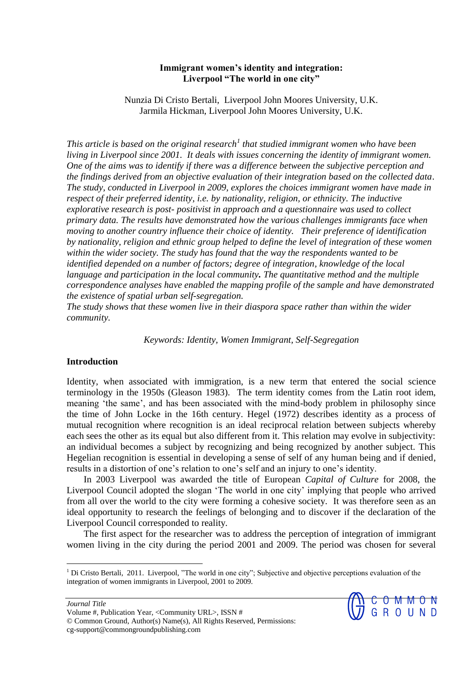# **Immigrant women's identity and integration: Liverpool "The world in one city"**

Nunzia Di Cristo Bertali, Liverpool John Moores University, U.K. Jarmila Hickman, Liverpool John Moores University, U.K.

*This article is based on the original research<sup>1</sup> that studied immigrant women who have been living in Liverpool since 2001. It deals with issues concerning the identity of immigrant women. One of the aims was to identify if there was a difference between the subjective perception and the findings derived from an objective evaluation of their integration based on the collected data. The study, conducted in Liverpool in 2009, explores the choices immigrant women have made in respect of their preferred identity, i.e. by nationality, religion, or ethnicity. The inductive explorative research is post- positivist in approach and a questionnaire was used to collect primary data. The results have demonstrated how the various challenges immigrants face when moving to another country influence their choice of identity. Their preference of identification by nationality, religion and ethnic group helped to define the level of integration of these women within the wider society. The study has found that the way the respondents wanted to be identified depended on a number of factors; degree of integration, knowledge of the local language and participation in the local community. The quantitative method and the multiple correspondence analyses have enabled the mapping profile of the sample and have demonstrated the existence of spatial urban self-segregation.* 

*The study shows that these women live in their diaspora space rather than within the wider community.* 

*Keywords: Identity, Women Immigrant, Self-Segregation*

### **Introduction**

Identity, when associated with immigration, is a new term that entered the social science terminology in the 1950s (Gleason 1983). The term identity comes from the Latin root idem, meaning 'the same', and has been associated with the mind-body problem in philosophy since the time of John Locke in the 16th century. Hegel (1972) describes identity as a process of mutual recognition where recognition is an ideal reciprocal relation between subjects whereby each sees the other as its equal but also different from it. This relation may evolve in subjectivity: an individual becomes a subject by recognizing and being recognized by another subject. This Hegelian recognition is essential in developing a sense of self of any human being and if denied, results in a distortion of one's relation to one's self and an injury to one's identity.

In 2003 Liverpool was awarded the title of European *Capital of Culture* for 2008, the Liverpool Council adopted the slogan 'The world in one city' implying that people who arrived from all over the world to the city were forming a cohesive society. It was therefore seen as an ideal opportunity to research the feelings of belonging and to discover if the declaration of the Liverpool Council corresponded to reality.

The first aspect for the researcher was to address the perception of integration of immigrant women living in the city during the period 2001 and 2009. The period was chosen for several

 $<sup>1</sup>$  Di Cristo Bertali, 2011. Liverpool, "The world in one city"; Subjective and objective perceptions evaluation of the</sup> integration of women immigrants in Liverpool, 2001 to 2009.



 $\overline{a}$ 

Volume #, Publication Year, <Community URL>, ISSN # © Common Ground, Author(s) Name(s), All Rights Reserved, Permissions: cg-support@commongroundpublishing.com

*Journal Title*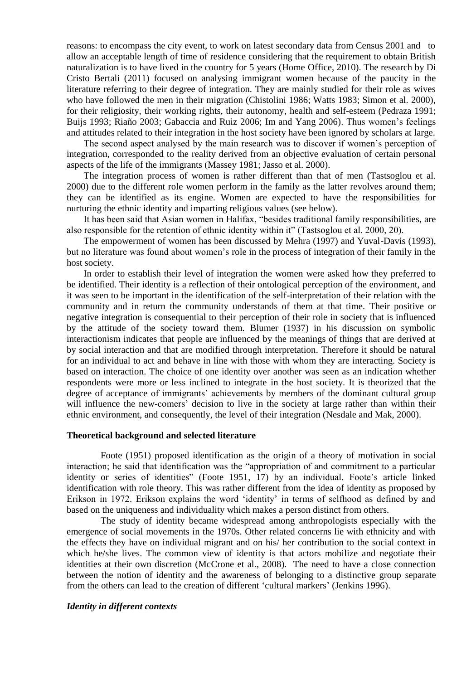reasons: to encompass the city event, to work on latest secondary data from Census 2001 and to allow an acceptable length of time of residence considering that the requirement to obtain British naturalization is to have lived in the country for 5 years (Home Office, 2010). The research by Di Cristo Bertali (2011) focused on analysing immigrant women because of the paucity in the literature referring to their degree of integration. They are mainly studied for their role as wives who have followed the men in their migration (Chistolini 1986; Watts 1983; Simon et al. 2000), for their religiosity, their working rights, their autonomy, health and self-esteem (Pedraza 1991; Buijs 1993; Riaño 2003; Gabaccia and Ruiz 2006; Im and Yang 2006). Thus women's feelings and attitudes related to their integration in the host society have been ignored by scholars at large.

The second aspect analysed by the main research was to discover if women's perception of integration, corresponded to the reality derived from an objective evaluation of certain personal aspects of the life of the immigrants (Massey 1981; Jasso et al. 2000).

The integration process of women is rather different than that of men (Tastsoglou et al. 2000) due to the different role women perform in the family as the latter revolves around them; they can be identified as its engine. Women are expected to have the responsibilities for nurturing the ethnic identity and imparting religious values (see below).

It has been said that Asian women in Halifax, "besides traditional family responsibilities, are also responsible for the retention of ethnic identity within it" (Tastsoglou et al. 2000, 20).

The empowerment of women has been discussed by Mehra (1997) and Yuval-Davis (1993), but no literature was found about women's role in the process of integration of their family in the host society.

In order to establish their level of integration the women were asked how they preferred to be identified. Their identity is a reflection of their ontological perception of the environment, and it was seen to be important in the identification of the self-interpretation of their relation with the community and in return the community understands of them at that time. Their positive or negative integration is consequential to their perception of their role in society that is influenced by the attitude of the society toward them. Blumer (1937) in his discussion on symbolic interactionism indicates that people are influenced by the meanings of things that are derived at by social interaction and that are modified through interpretation. Therefore it should be natural for an individual to act and behave in line with those with whom they are interacting. Society is based on interaction. The choice of one identity over another was seen as an indication whether respondents were more or less inclined to integrate in the host society. It is theorized that the degree of acceptance of immigrants' achievements by members of the dominant cultural group will influence the new-comers' decision to live in the society at large rather than within their ethnic environment, and consequently, the level of their integration (Nesdale and Mak, 2000).

#### **Theoretical background and selected literature**

Foote (1951) proposed identification as the origin of a theory of motivation in social interaction; he said that identification was the "appropriation of and commitment to a particular identity or series of identities" (Foote 1951, 17) by an individual. Foote's article linked identification with role theory. This was rather different from the idea of identity as proposed by Erikson in 1972. Erikson explains the word 'identity' in terms of selfhood as defined by and based on the uniqueness and individuality which makes a person distinct from others.

The study of identity became widespread among anthropologists especially with the emergence of social movements in the 1970s. Other related concerns lie with ethnicity and with the effects they have on individual migrant and on his/ her contribution to the social context in which he/she lives. The common view of identity is that actors mobilize and negotiate their identities at their own discretion (McCrone et al., 2008). The need to have a close connection between the notion of identity and the awareness of belonging to a distinctive group separate from the others can lead to the creation of different 'cultural markers' (Jenkins 1996).

### *Identity in different contexts*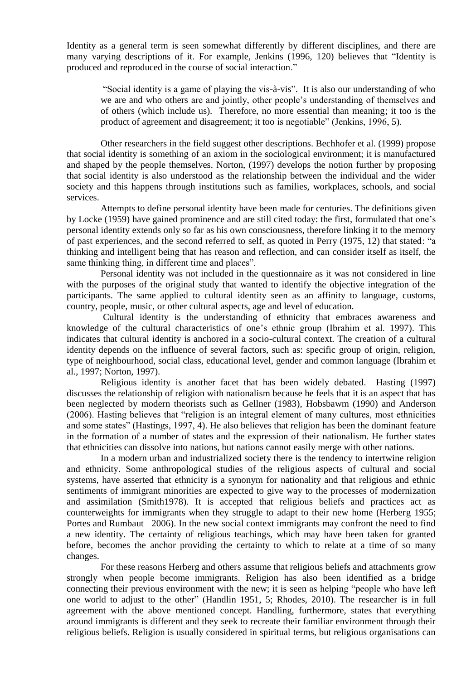Identity as a general term is seen somewhat differently by different disciplines, and there are many varying descriptions of it. For example, Jenkins (1996, 120) believes that "Identity is produced and reproduced in the course of social interaction."

"Social identity is a game of playing the vis-à-vis". It is also our understanding of who we are and who others are and jointly, other people's understanding of themselves and of others (which include us). Therefore, no more essential than meaning; it too is the product of agreement and disagreement; it too is negotiable" (Jenkins, 1996, 5).

Other researchers in the field suggest other descriptions. Bechhofer et al. (1999) propose that social identity is something of an axiom in the sociological environment; it is manufactured and shaped by the people themselves. Norton, (1997) develops the notion further by proposing that social identity is also understood as the relationship between the individual and the wider society and this happens through institutions such as families, workplaces, schools, and social services.

Attempts to define personal identity have been made for centuries. The definitions given by Locke (1959) have gained prominence and are still cited today: the first, formulated that one's personal identity extends only so far as his own consciousness, therefore linking it to the memory of past experiences, and the second referred to self, as quoted in Perry (1975, 12) that stated: "a thinking and intelligent being that has reason and reflection, and can consider itself as itself, the same thinking thing, in different time and places".

Personal identity was not included in the questionnaire as it was not considered in line with the purposes of the original study that wanted to identify the objective integration of the participants. The same applied to cultural identity seen as an affinity to language, customs, country, people, music, or other cultural aspects, age and level of education.

Cultural identity is the understanding of ethnicity that embraces awareness and knowledge of the cultural characteristics of one's ethnic group (Ibrahim et al. 1997). This indicates that cultural identity is anchored in a socio-cultural context. The creation of a cultural identity depends on the influence of several factors, such as: specific group of origin, religion, type of neighbourhood, social class, educational level, gender and common language (Ibrahim et al., 1997; Norton, 1997).

Religious identity is another facet that has been widely debated. Hasting (1997) discusses the relationship of religion with nationalism because he feels that it is an aspect that has been neglected by modern theorists such as Gellner (1983), Hobsbawm (1990) and Anderson (2006). Hasting believes that "religion is an integral element of many cultures, most ethnicities and some states" (Hastings, 1997, 4). He also believes that religion has been the dominant feature in the formation of a number of states and the expression of their nationalism. He further states that ethnicities can dissolve into nations, but nations cannot easily merge with other nations.

In a modern urban and industrialized society there is the tendency to intertwine religion and ethnicity. Some anthropological studies of the religious aspects of cultural and social systems, have asserted that ethnicity is a synonym for nationality and that religious and ethnic sentiments of immigrant minorities are expected to give way to the processes of modernization and assimilation (Smith1978). It is accepted that religious beliefs and practices act as counterweights for immigrants when they struggle to adapt to their new home (Herberg 1955; Portes and Rumbaut 2006). In the new social context immigrants may confront the need to find a new identity. The certainty of religious teachings, which may have been taken for granted before, becomes the anchor providing the certainty to which to relate at a time of so many changes.

For these reasons Herberg and others assume that religious beliefs and attachments grow strongly when people become immigrants. Religion has also been identified as a bridge connecting their previous environment with the new; it is seen as helping "people who have left one world to adjust to the other" (Handlin 1951, 5; Rhodes, 2010). The researcher is in full agreement with the above mentioned concept. Handling, furthermore, states that everything around immigrants is different and they seek to recreate their familiar environment through their religious beliefs. Religion is usually considered in spiritual terms, but religious organisations can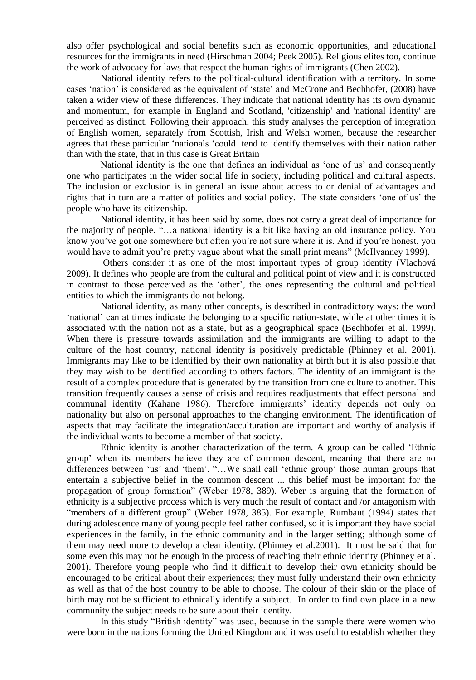also offer psychological and social benefits such as economic opportunities, and educational resources for the immigrants in need (Hirschman 2004; Peek 2005). Religious elites too, continue the work of advocacy for laws that respect the human rights of immigrants (Chen 2002).

National identity refers to the political-cultural identification with a territory. In some cases 'nation' is considered as the equivalent of 'state' and McCrone and Bechhofer, (2008) have taken a wider view of these differences. They indicate that national identity has its own dynamic and momentum, for example in England and Scotland, 'citizenship' and 'national identity' are perceived as distinct. Following their approach, this study analyses the perception of integration of English women, separately from Scottish, Irish and Welsh women, because the researcher agrees that these particular 'nationals 'could tend to identify themselves with their nation rather than with the state, that in this case is Great Britain

National identity is the one that defines an individual as 'one of us' and consequently one who participates in the wider social life in society, including political and cultural aspects. The inclusion or exclusion is in general an issue about access to or denial of advantages and rights that in turn are a matter of politics and social policy. The state considers 'one of us' the people who have its citizenship.

National identity, it has been said by some, does not carry a great deal of importance for the majority of people. "…a national identity is a bit like having an old insurance policy. You know you've got one somewhere but often you're not sure where it is. And if you're honest, you would have to admit you're pretty vague about what the small print means" (McIlvanney 1999).

Others consider it as one of the most important types of group identity (Vlachová 2009). It defines who people are from the cultural and political point of view and it is constructed in contrast to those perceived as the 'other', the ones representing the cultural and political entities to which the immigrants do not belong.

National identity, as many other concepts, is described in contradictory ways: the word 'national' can at times indicate the belonging to a specific nation-state, while at other times it is associated with the nation not as a state, but as a geographical space (Bechhofer et al. 1999). When there is pressure towards assimilation and the immigrants are willing to adapt to the culture of the host country, national identity is positively predictable (Phinney et al. 2001). Immigrants may like to be identified by their own nationality at birth but it is also possible that they may wish to be identified according to others factors. The identity of an immigrant is the result of a complex procedure that is generated by the transition from one culture to another. This transition frequently causes a sense of crisis and requires readjustments that effect personal and communal identity (Kahane 1986). Therefore immigrants' identity depends not only on nationality but also on personal approaches to the changing environment. The identification of aspects that may facilitate the integration/acculturation are important and worthy of analysis if the individual wants to become a member of that society.

Ethnic identity is another characterization of the term. A group can be called 'Ethnic group' when its members believe they are of common descent, meaning that there are no differences between 'us' and 'them'. "…We shall call 'ethnic group' those human groups that entertain a subjective belief in the common descent ... this belief must be important for the propagation of group formation" (Weber 1978, 389). Weber is arguing that the formation of ethnicity is a subjective process which is very much the result of contact and /or antagonism with "members of a different group" (Weber 1978, 385). For example, Rumbaut (1994) states that during adolescence many of young people feel rather confused, so it is important they have social experiences in the family, in the ethnic community and in the larger setting; although some of them may need more to develop a clear identity. (Phinney et al.2001). It must be said that for some even this may not be enough in the process of reaching their ethnic identity (Phinney et al. 2001). Therefore young people who find it difficult to develop their own ethnicity should be encouraged to be critical about their experiences; they must fully understand their own ethnicity as well as that of the host country to be able to choose. The colour of their skin or the place of birth may not be sufficient to ethnically identify a subject. In order to find own place in a new community the subject needs to be sure about their identity.

In this study "British identity" was used, because in the sample there were women who were born in the nations forming the United Kingdom and it was useful to establish whether they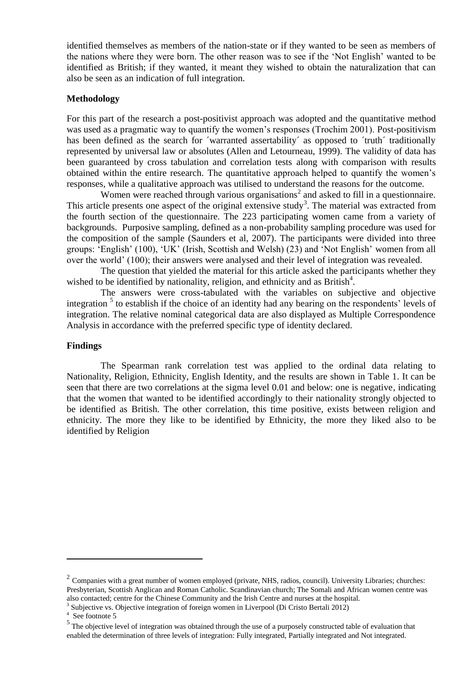identified themselves as members of the nation-state or if they wanted to be seen as members of the nations where they were born. The other reason was to see if the 'Not English' wanted to be identified as British; if they wanted, it meant they wished to obtain the naturalization that can also be seen as an indication of full integration.

### **Methodology**

For this part of the research a post-positivist approach was adopted and the quantitative method was used as a pragmatic way to quantify the women's responses (Trochim 2001). Post-positivism has been defined as the search for 'warranted assertability' as opposed to 'truth' traditionally represented by universal law or absolutes (Allen and Letourneau, 1999). The validity of data has been guaranteed by cross tabulation and correlation tests along with comparison with results obtained within the entire research. The quantitative approach helped to quantify the women's responses, while a qualitative approach was utilised to understand the reasons for the outcome.

Women were reached through various organisations<sup>2</sup> and asked to fill in a questionnaire. This article presents one aspect of the original extensive study<sup>3</sup>. The material was extracted from the fourth section of the questionnaire. The 223 participating women came from a variety of backgrounds. Purposive sampling, defined as a non-probability sampling procedure was used for the composition of the sample (Saunders et al, 2007). The participants were divided into three groups: 'English' (100), 'UK' (Irish, Scottish and Welsh) (23) and 'Not English' women from all over the world' (100); their answers were analysed and their level of integration was revealed.

The question that yielded the material for this article asked the participants whether they wished to be identified by nationality, religion, and ethnicity and as British<sup>4</sup>.

The answers were cross-tabulated with the variables on subjective and objective integration<sup>5</sup> to establish if the choice of an identity had any bearing on the respondents' levels of integration. The relative nominal categorical data are also displayed as Multiple Correspondence Analysis in accordance with the preferred specific type of identity declared.

### **Findings**

The Spearman rank correlation test was applied to the ordinal data relating to Nationality, Religion, Ethnicity, English Identity, and the results are shown in Table 1. It can be seen that there are two correlations at the sigma level 0.01 and below: one is negative, indicating that the women that wanted to be identified accordingly to their nationality strongly objected to be identified as British. The other correlation, this time positive, exists between religion and ethnicity. The more they like to be identified by Ethnicity, the more they liked also to be identified by Religion

l

 $2^2$  Companies with a great number of women employed (private, NHS, radios, council). University Libraries; churches: Presbyterian, Scottish Anglican and Roman Catholic. Scandinavian church; The Somali and African women centre was also contacted; centre for the Chinese Community and the Irish Centre and nurses at the hospital. 3

Subjective vs. Objective integration of foreign women in Liverpool (Di Cristo Bertali 2012)

<sup>4</sup> See footnote 5

 $<sup>5</sup>$  The objective level of integration was obtained through the use of a purposely constructed table of evaluation that</sup> enabled the determination of three levels of integration: Fully integrated, Partially integrated and Not integrated.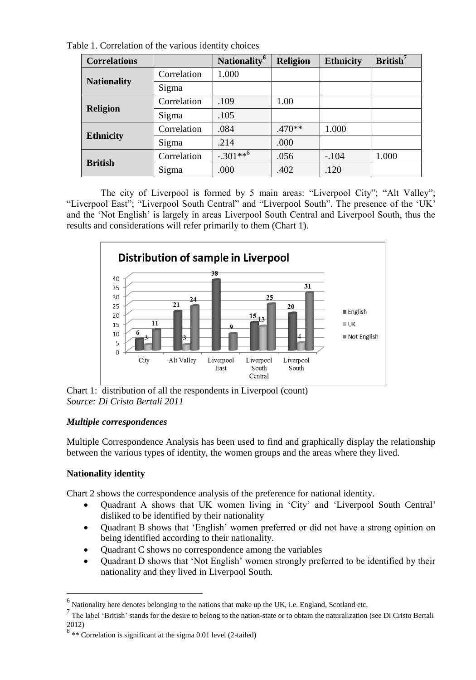Table 1. Correlation of the various identity choices

| <b>Correlations</b> |             | Nationality <sup>6</sup> | <b>Religion</b> | <b>Ethnicity</b> | $British7$ |
|---------------------|-------------|--------------------------|-----------------|------------------|------------|
| <b>Nationality</b>  | Correlation | 1.000                    |                 |                  |            |
|                     | Sigma       |                          |                 |                  |            |
| <b>Religion</b>     | Correlation | .109                     | 1.00            |                  |            |
|                     | Sigma       | .105                     |                 |                  |            |
| <b>Ethnicity</b>    | Correlation | .084                     | $.470**$        | 1.000            |            |
|                     | Sigma       | .214                     | .000            |                  |            |
| <b>British</b>      | Correlation | $-.301**8$               | .056            | $-.104$          | 1.000      |
|                     | Sigma       | .000                     | .402            | .120             |            |

The city of Liverpool is formed by 5 main areas: "Liverpool City"; "Alt Valley"; "Liverpool East"; "Liverpool South Central" and "Liverpool South". The presence of the 'UK' and the 'Not English' is largely in areas Liverpool South Central and Liverpool South, thus the results and considerations will refer primarily to them (Chart 1).



Chart 1: distribution of all the respondents in Liverpool (count) *Source: Di Cristo Bertali 2011*

# *Multiple correspondences*

Multiple Correspondence Analysis has been used to find and graphically display the relationship between the various types of identity, the women groups and the areas where they lived.

# **Nationality identity**

Chart 2 shows the correspondence analysis of the preference for national identity.

- Quadrant A shows that UK women living in 'City' and 'Liverpool South Central' disliked to be identified by their nationality
- Quadrant B shows that 'English' women preferred or did not have a strong opinion on being identified according to their nationality.
- Ouadrant C shows no correspondence among the variables
- Quadrant D shows that 'Not English' women strongly preferred to be identified by their nationality and they lived in Liverpool South.

 6 Nationality here denotes belonging to the nations that make up the UK, i.e. England, Scotland etc.

 $^7$  The label 'British' stands for the desire to belong to the nation-state or to obtain the naturalization (see Di Cristo Bertali 2012)

 $8$  \*\* Correlation is significant at the sigma 0.01 level (2-tailed)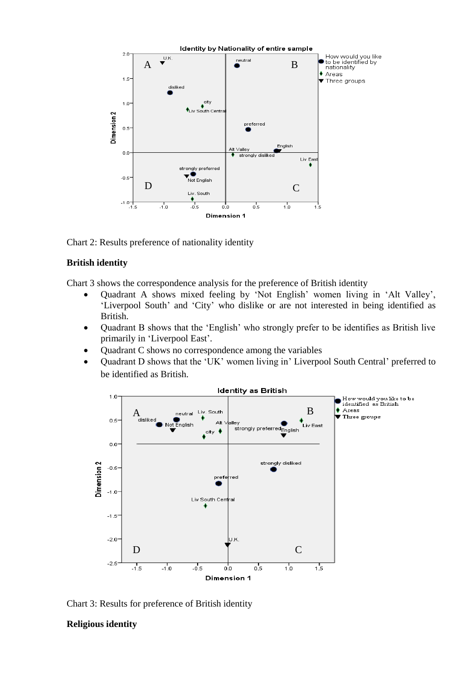

Chart 2: Results preference of nationality identity

# **British identity**

Chart 3 shows the correspondence analysis for the preference of British identity

- Quadrant A shows mixed feeling by 'Not English' women living in 'Alt Valley', 'Liverpool South' and 'City' who dislike or are not interested in being identified as British.
- Quadrant B shows that the 'English' who strongly prefer to be identifies as British live primarily in 'Liverpool East'.
- Quadrant C shows no correspondence among the variables
- Quadrant D shows that the 'UK' women living in' Liverpool South Central' preferred to be identified as British.



Chart 3: Results for preference of British identity

# **Religious identity**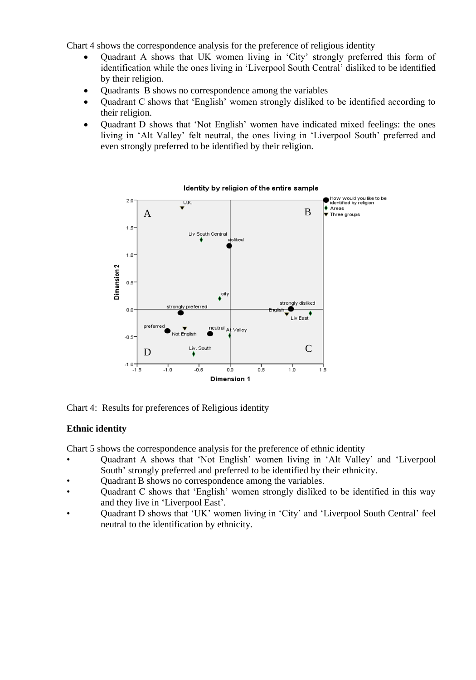Chart 4 shows the correspondence analysis for the preference of religious identity

- Quadrant A shows that UK women living in 'City' strongly preferred this form of identification while the ones living in 'Liverpool South Central' disliked to be identified by their religion.
- Quadrants B shows no correspondence among the variables
- Quadrant C shows that 'English' women strongly disliked to be identified according to their religion.
- Quadrant D shows that 'Not English' women have indicated mixed feelings: the ones living in 'Alt Valley' felt neutral, the ones living in 'Liverpool South' preferred and even strongly preferred to be identified by their religion.



Chart 4: Results for preferences of Religious identity

### **Ethnic identity**

Chart 5 shows the correspondence analysis for the preference of ethnic identity

- Quadrant A shows that 'Not English' women living in 'Alt Valley' and 'Liverpool South' strongly preferred and preferred to be identified by their ethnicity.
- Quadrant B shows no correspondence among the variables.
- Quadrant C shows that 'English' women strongly disliked to be identified in this way and they live in 'Liverpool East'.
- Quadrant D shows that 'UK' women living in 'City' and 'Liverpool South Central' feel neutral to the identification by ethnicity.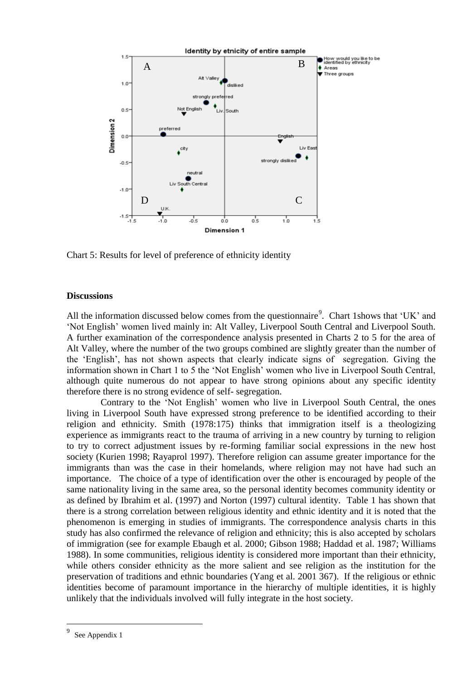

Chart 5: Results for level of preference of ethnicity identity

### **Discussions**

All the information discussed below comes from the questionnaire<sup>9</sup>. Chart 1 shows that 'UK' and 'Not English' women lived mainly in: Alt Valley, Liverpool South Central and Liverpool South. A further examination of the correspondence analysis presented in Charts 2 to 5 for the area of Alt Valley, where the number of the two groups combined are slightly greater than the number of the 'English', has not shown aspects that clearly indicate signs of segregation. Giving the information shown in Chart 1 to 5 the 'Not English' women who live in Liverpool South Central, although quite numerous do not appear to have strong opinions about any specific identity therefore there is no strong evidence of self- segregation.

Contrary to the 'Not English' women who live in Liverpool South Central, the ones living in Liverpool South have expressed strong preference to be identified according to their religion and ethnicity. Smith (1978:175) thinks that immigration itself is a theologizing experience as immigrants react to the trauma of arriving in a new country by turning to religion to try to correct adjustment issues by re-forming familiar social expressions in the new host society (Kurien 1998; Rayaprol 1997). Therefore religion can assume greater importance for the immigrants than was the case in their homelands, where religion may not have had such an importance. The choice of a type of identification over the other is encouraged by people of the same nationality living in the same area, so the personal identity becomes community identity or as defined by Ibrahim et al. (1997) and Norton (1997) cultural identity. Table 1 has shown that there is a strong correlation between religious identity and ethnic identity and it is noted that the phenomenon is emerging in studies of immigrants. The correspondence analysis charts in this study has also confirmed the relevance of religion and ethnicity; this is also accepted by scholars of immigration (see for example Ebaugh et al. 2000; Gibson 1988; Haddad et al. 1987; Williams 1988). In some communities, religious identity is considered more important than their ethnicity, while others consider ethnicity as the more salient and see religion as the institution for the preservation of traditions and ethnic boundaries (Yang et al. 2001 367). If the religious or ethnic identities become of paramount importance in the hierarchy of multiple identities, it is highly unlikely that the individuals involved will fully integrate in the host society.

l

<sup>9</sup> See Appendix 1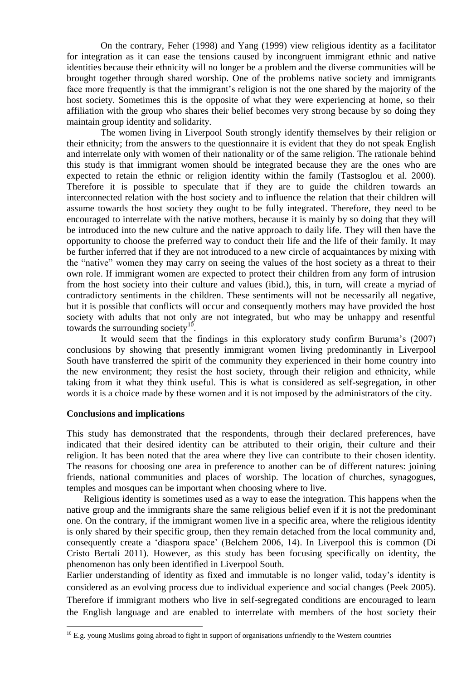On the contrary, Feher (1998) and Yang (1999) view religious identity as a facilitator for integration as it can ease the tensions caused by incongruent immigrant ethnic and native identities because their ethnicity will no longer be a problem and the diverse communities will be brought together through shared worship. One of the problems native society and immigrants face more frequently is that the immigrant's religion is not the one shared by the majority of the host society. Sometimes this is the opposite of what they were experiencing at home, so their affiliation with the group who shares their belief becomes very strong because by so doing they maintain group identity and solidarity.

The women living in Liverpool South strongly identify themselves by their religion or their ethnicity; from the answers to the questionnaire it is evident that they do not speak English and interrelate only with women of their nationality or of the same religion. The rationale behind this study is that immigrant women should be integrated because they are the ones who are expected to retain the ethnic or religion identity within the family (Tastsoglou et al. 2000). Therefore it is possible to speculate that if they are to guide the children towards an interconnected relation with the host society and to influence the relation that their children will assume towards the host society they ought to be fully integrated. Therefore, they need to be encouraged to interrelate with the native mothers, because it is mainly by so doing that they will be introduced into the new culture and the native approach to daily life. They will then have the opportunity to choose the preferred way to conduct their life and the life of their family. It may be further inferred that if they are not introduced to a new circle of acquaintances by mixing with the "native" women they may carry on seeing the values of the host society as a threat to their own role. If immigrant women are expected to protect their children from any form of intrusion from the host society into their culture and values (ibid.), this, in turn, will create a myriad of contradictory sentiments in the children. These sentiments will not be necessarily all negative, but it is possible that conflicts will occur and consequently mothers may have provided the host society with adults that not only are not integrated, but who may be unhappy and resentful towards the surrounding society<sup>10</sup>.

It would seem that the findings in this exploratory study confirm Buruma's (2007) conclusions by showing that presently immigrant women living predominantly in Liverpool South have transferred the spirit of the community they experienced in their home country into the new environment; they resist the host society, through their religion and ethnicity, while taking from it what they think useful. This is what is considered as self-segregation, in other words it is a choice made by these women and it is not imposed by the administrators of the city.

### **Conclusions and implications**

 $\overline{a}$ 

This study has demonstrated that the respondents, through their declared preferences, have indicated that their desired identity can be attributed to their origin, their culture and their religion. It has been noted that the area where they live can contribute to their chosen identity. The reasons for choosing one area in preference to another can be of different natures: joining friends, national communities and places of worship. The location of churches, synagogues, temples and mosques can be important when choosing where to live.

Religious identity is sometimes used as a way to ease the integration. This happens when the native group and the immigrants share the same religious belief even if it is not the predominant one. On the contrary, if the immigrant women live in a specific area, where the religious identity is only shared by their specific group, then they remain detached from the local community and, consequently create a 'diaspora space' (Belchem 2006, 14). In Liverpool this is common (Di Cristo Bertali 2011). However, as this study has been focusing specifically on identity, the phenomenon has only been identified in Liverpool South.

Earlier understanding of identity as fixed and immutable is no longer valid, today's identity is considered as an evolving process due to individual experience and social changes (Peek 2005). Therefore if immigrant mothers who live in self-segregated conditions are encouraged to learn the English language and are enabled to interrelate with members of the host society their

 $10$  E.g. young Muslims going abroad to fight in support of organisations unfriendly to the Western countries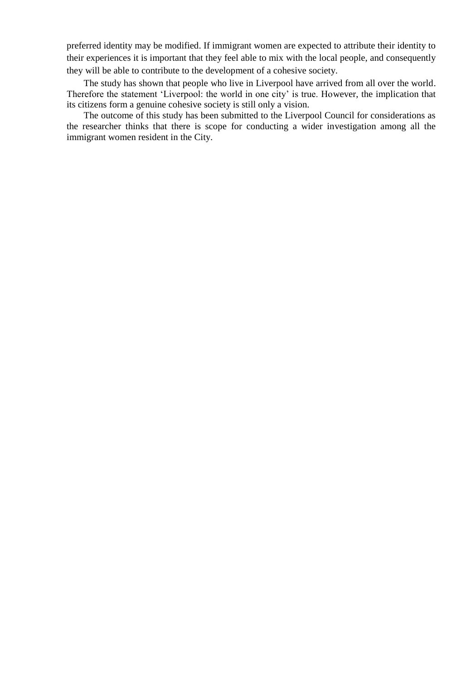preferred identity may be modified. If immigrant women are expected to attribute their identity to their experiences it is important that they feel able to mix with the local people, and consequently they will be able to contribute to the development of a cohesive society.

The study has shown that people who live in Liverpool have arrived from all over the world. Therefore the statement 'Liverpool: the world in one city' is true. However, the implication that its citizens form a genuine cohesive society is still only a vision.

The outcome of this study has been submitted to the Liverpool Council for considerations as the researcher thinks that there is scope for conducting a wider investigation among all the immigrant women resident in the City.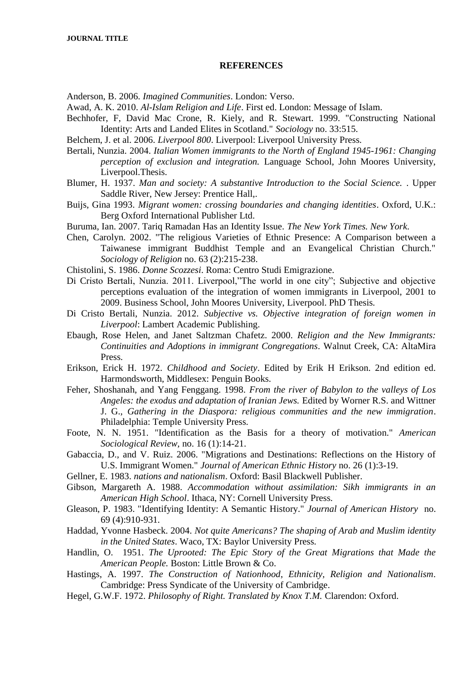#### **REFERENCES**

Anderson, B. 2006. *Imagined Communities*. London: Verso.

Awad, A. K. 2010. *Al-Islam Religion and Life*. First ed. London: Message of Islam.

Bechhofer, F, David Mac Crone, R. Kiely, and R. Stewart. 1999. "Constructing National Identity: Arts and Landed Elites in Scotland." *Sociology* no. 33:515.

Belchem, J. et al. 2006. *Liverpool 800*. Liverpool: Liverpool University Press.

Bertali, Nunzia. 2004. *Italian Women immigrants to the North of England 1945-1961: Changing perception of exclusion and integration.* Language School, John Moores University, Liverpool.Thesis.

Blumer, H. 1937. *Man and society: A substantive Introduction to the Social Science.* . Upper Saddle River, New Jersey: Prentice Hall,.

Buijs, Gina 1993. *Migrant women: crossing boundaries and changing identities*. Oxford, U.K.: Berg Oxford International Publisher Ltd.

- Buruma, Ian. 2007. Tariq Ramadan Has an Identity Issue. *The New York Times. New York.*
- Chen, Carolyn. 2002. "The religious Varieties of Ethnic Presence: A Comparison between a Taiwanese immigrant Buddhist Temple and an Evangelical Christian Church." *Sociology of Religion* no. 63 (2):215-238.
- Chistolini, S. 1986. *Donne Scozzesi*. Roma: Centro Studi Emigrazione.
- Di Cristo Bertali, Nunzia. 2011. Liverpool,"The world in one city"; Subjective and objective perceptions evaluation of the integration of women immigrants in Liverpool, 2001 to 2009. Business School, John Moores University, Liverpool. PhD Thesis.
- Di Cristo Bertali, Nunzia. 2012. *Subjective vs. Objective integration of foreign women in Liverpool*: Lambert Academic Publishing.
- Ebaugh, Rose Helen, and Janet Saltzman Chafetz. 2000. *Religion and the New Immigrants: Continuities and Adoptions in immigrant Congregations.* Walnut Creek, CA: AltaMira Press.
- Erikson, Erick H. 1972. *Childhood and Society*. Edited by Erik H Erikson. 2nd edition ed. Harmondsworth, Middlesex: Penguin Books.
- Feher, Shoshanah, and Yang Fenggang. 1998. *From the river of Babylon to the valleys of Los Angeles: the exodus and adaptation of Iranian Jews.* Edited by Worner R.S. and Wittner J. G., *Gathering in the Diaspora: religious communities and the new immigration*. Philadelphia: Temple University Press.
- Foote, N. N. 1951. "Identification as the Basis for a theory of motivation." *American Sociological Review,* no. 16 (1):14-21.
- Gabaccia, D., and V. Ruiz. 2006. "Migrations and Destinations: Reflections on the History of U.S. Immigrant Women." *Journal of American Ethnic History* no. 26 (1):3-19.
- Gellner, E. 1983. *nations and nationalism*. Oxford: Basil Blackwell Publisher.
- Gibson, Margareth A. 1988. *Accommodation without assimilation: Sikh immigrants in an American High School*. Ithaca, NY: Cornell University Press.
- Gleason, P. 1983. "Identifying Identity: A Semantic History." *Journal of American History* no. 69 (4):910-931.
- Haddad, Yvonne Hasbeck. 2004. *Not quite Americans? The shaping of Arab and Muslim identity in the United States*. Waco, TX: Baylor University Press.
- Handlin, O. 1951. *The Uprooted: The Epic Story of the Great Migrations that Made the American People.* Boston: Little Brown & Co.
- Hastings, A. 1997. *The Construction of Nationhood*, *Ethnicity, Religion and Nationalism*. Cambridge: Press Syndicate of the University of Cambridge.
- Hegel, G.W.F. 1972. *Philosophy of Right. Translated by Knox T.M.* Clarendon: Oxford.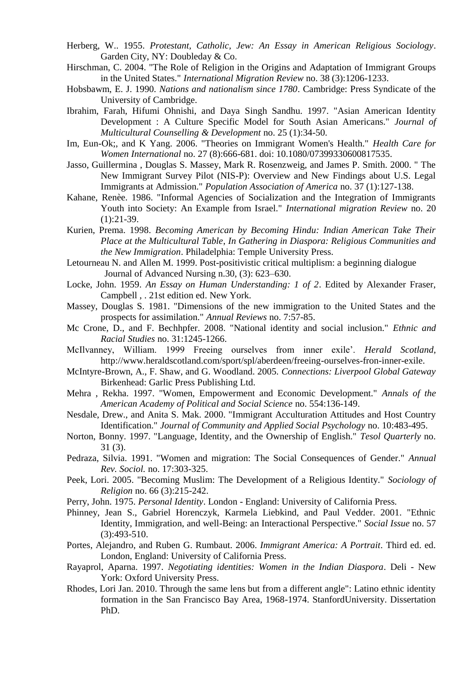- Herberg, W.. 1955. *Protestant, Catholic, Jew: An Essay in American Religious Sociology*. Garden City, NY: Doubleday & Co.
- Hirschman, C. 2004. "The Role of Religion in the Origins and Adaptation of Immigrant Groups in the United States." *International Migration Review* no. 38 (3):1206-1233.
- Hobsbawm, E. J. 1990. *Nations and nationalism since 1780*. Cambridge: Press Syndicate of the University of Cambridge.
- Ibrahim, Farah, Hifumi Ohnishi, and Daya Singh Sandhu. 1997. "Asian American Identity Development : A Culture Specific Model for South Asian Americans." *Journal of Multicultural Counselling & Development* no. 25 (1):34-50.
- Im, Eun-Ok;, and K Yang. 2006. "Theories on Immigrant Women's Health." *Health Care for Women International* no. 27 (8):666-681. doi: 10.1080/07399330600817535.
- Jasso, Guillermina , Douglas S. Massey, Mark R. Rosenzweig, and James P. Smith. 2000. " The New Immigrant Survey Pilot (NIS-P): Overview and New Findings about U.S. Legal Immigrants at Admission." *Population Association of America* no. 37 (1):127-138.
- Kahane, Renèe. 1986. "Informal Agencies of Socialization and the Integration of Immigrants Youth into Society: An Example from Israel." *International migration Review* no. 20  $(1):21-39.$
- Kurien, Prema. 1998. *Becoming American by Becoming Hindu: Indian American Take Their Place at the Multicultural Table*, *In Gathering in Diaspora: Religious Communities and the New Immigration*. Philadelphia: Temple University Press.
- Letourneau N. and Allen M. 1999. Post-positivistic critical multiplism: a beginning dialogue Journal of Advanced Nursing n.30, (3): 623–630.
- Locke, John. 1959. *An Essay on Human Understanding: 1 of 2*. Edited by Alexander Fraser, Campbell , . 21st edition ed. New York.
- Massey, Douglas S. 1981. "Dimensions of the new immigration to the United States and the prospects for assimilation." *Annual Reviews* no. 7:57-85.
- Mc Crone, D., and F. Bechhpfer. 2008. "National identity and social inclusion." *Ethnic and Racial Studies* no. 31:1245-1266.
- McIlvanney, William. 1999 Freeing ourselves from inner exile'. *Herald Scotland*, http://www.heraldscotland.com/sport/spl/aberdeen/freeing-ourselves-fron-inner-exile.
- McIntyre-Brown, A., F. Shaw, and G. Woodland. 2005. *Connections: Liverpool Global Gateway*  Birkenhead: Garlic Press Publishing Ltd.
- Mehra , Rekha. 1997. "Women, Empowerment and Economic Development." *Annals of the American Academy of Political and Social Science* no. 554:136-149.
- Nesdale, Drew., and Anita S. Mak. 2000. "Immigrant Acculturation Attitudes and Host Country Identification." *Journal of Community and Applied Social Psychology* no. 10:483-495.
- Norton, Bonny. 1997. "Language, Identity, and the Ownership of English." *Tesol Quarterly* no. 31 (3).
- Pedraza, Silvia. 1991. "Women and migration: The Social Consequences of Gender." *Annual Rev. Sociol.* no. 17:303-325.
- Peek, Lori. 2005. "Becoming Muslim: The Development of a Religious Identity." *Sociology of Religion* no. 66 (3):215-242.
- Perry, John. 1975. *Personal Identity*. London England: University of California Press.
- Phinney, Jean S., Gabriel Horenczyk, Karmela Liebkind, and Paul Vedder. 2001. "Ethnic Identity, Immigration, and well-Being: an Interactional Perspective." *Social Issue* no. 57 (3):493-510.
- Portes, Alejandro, and Ruben G. Rumbaut. 2006. *Immigrant America: A Portrait*. Third ed. ed. London, England: University of California Press.
- Rayaprol, Aparna. 1997. *Negotiating identities: Women in the Indian Diaspora*. Deli New York: Oxford University Press.
- Rhodes, Lori Jan. 2010. Through the same lens but from a different angle": Latino ethnic identity formation in the San Francisco Bay Area, 1968-1974. StanfordUniversity. Dissertation PhD.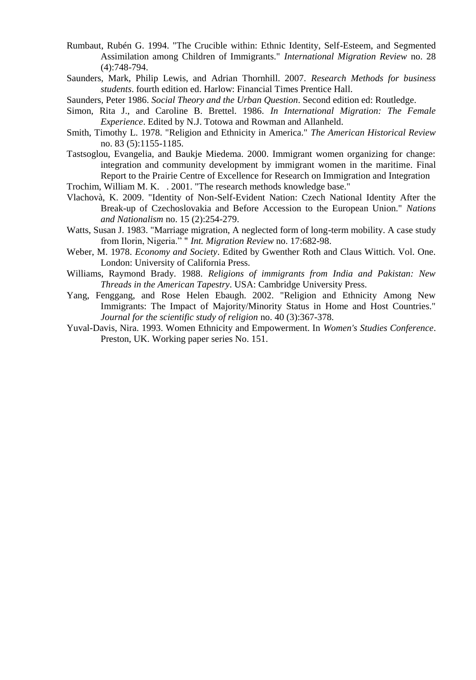- Rumbaut, Rubén G. 1994. "The Crucible within: Ethnic Identity, Self-Esteem, and Segmented Assimilation among Children of Immigrants." *International Migration Review* no. 28 (4):748-794.
- Saunders, Mark, Philip Lewis, and Adrian Thornhill. 2007. *Research Methods for business students*. fourth edition ed. Harlow: Financial Times Prentice Hall.
- Saunders, Peter 1986. *Social Theory and the Urban Question*. Second edition ed: Routledge.
- Simon, Rita J., and Caroline B. Brettel. 1986. *In International Migration: The Female Experience*. Edited by N.J. Totowa and Rowman and Allanheld.
- Smith, Timothy L. 1978. "Religion and Ethnicity in America." *The American Historical Review* no. 83 (5):1155-1185.
- Tastsoglou, Evangelia, and Baukje Miedema. 2000. Immigrant women organizing for change: integration and community development by immigrant women in the maritime. Final Report to the Prairie Centre of Excellence for Research on Immigration and Integration
- Trochim, William M. K. . 2001. "The research methods knowledge base."
- Vlachovà, K. 2009. "Identity of Non-Self-Evident Nation: Czech National Identity After the Break-up of Czechoslovakia and Before Accession to the European Union." *Nations and Nationalism* no. 15 (2):254-279.
- Watts, Susan J. 1983. "Marriage migration, A neglected form of long-term mobility. A case study from Ilorin, Nigeria." " *Int. Migration Review* no. 17:682-98.
- Weber, M. 1978. *Economy and Society*. Edited by Gwenther Roth and Claus Wittich. Vol. One. London: University of California Press.
- Williams, Raymond Brady. 1988. *Religions of immigrants from India and Pakistan: New Threads in the American Tapestry*. USA: Cambridge University Press.
- Yang, Fenggang, and Rose Helen Ebaugh. 2002. "Religion and Ethnicity Among New Immigrants: The Impact of Majority/Minority Status in Home and Host Countries." *Journal for the scientific study of religion* no. 40 (3):367-378.
- Yuval-Davis, Nira. 1993. Women Ethnicity and Empowerment. In *Women's Studies Conference*. Preston, UK. Working paper series No. 151.